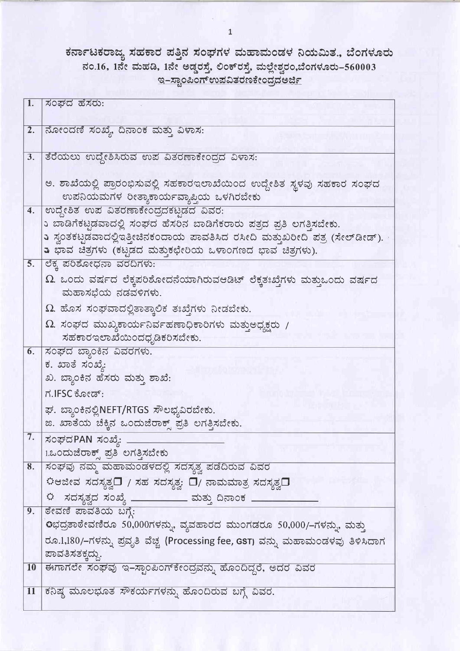## ಕರ್ನಾಟಕರಾಜ್ಯ ಸಹಕಾರ ಪತ್ತಿನ ಸಂಘಗಳ ಮಹಾಮಂಡಳ ನಿಯಮಿತ., ಬೆಂಗಳೂರು ನಂ.16, 1ನೇ ಮಹಡಿ, 1ನೇ ಅಡ್ಡರಸ್ತೆ, ಲಿಂಕ್ ರಸ್ತೆ, ಮಲ್ಲೇಶ್ವರಂ,ಬೆಂಗಳೂರು–560003 <u> ಇ-ಸ್ವಾಂಪಿಂಗ್ ಉಪವಿತರಣಕೇಂದ್ರದ ಅರ್ಜಿ</u>

| $\boxed{1}$ .    | ಸಂಘದ ಹೆಸರು:                                                                                                       |
|------------------|-------------------------------------------------------------------------------------------------------------------|
| 2.               | ನೋಂದಣಿ ಸಂಖ್ಯೆ, ದಿನಾಂಕ ಮತ್ತು ವಿಳಾಸ:                                                                                |
|                  |                                                                                                                   |
| 3.               | ತೆರೆಯಲು ಉದ್ದೇಶಿಸಿರುವ ಉಪ ವಿತರಣಾಕೇಂದ್ರದ ವಿಳಾಸ:                                                                      |
|                  |                                                                                                                   |
|                  | ಅ. ಶಾಖೆಯಲ್ಲಿ ಪ್ರಾರಂಭಿಸುವಲ್ಲಿ ಸಹಕಾರಇಲಾಖೆಯಿಂದ ಉದ್ದೇಶಿತ ಸ್ಥಳವು ಸಹಕಾರ ಸಂಘದ<br>ಉಪನಿಯಮಗಳ ರೀತ್ಯಾಕಾರ್ಯವ್ಯಾಪ್ತಿಯ ಒಳಗಿರಬೇಕು |
| $\overline{4}$ . | ಉದ್ದೇಶಿತ ಉಪ ವಿತರಣಾಕೇಂದ್ರದಕಟ್ಟಡದ ವಿವರ:                                                                             |
|                  | ು ಬಾಡಿಗೆಕಟ್ಟಡವಾದಲ್ಲಿ ಸಂಘದ ಹೆಸರಿನ ಬಾಡಿಗೆಕರಾರು ಪತ್ರದ ಪ್ರತಿ ಲಗತ್ತಿಸಬೇಕು.                                             |
|                  | 5 ಸ್ವಂತಕಟ್ಟಡವಾದಲ್ಲಿಇತ್ತೀಚಿನಕಂದಾಯ ಪಾವತಿಸಿದ ರಸೀದಿ ಮತ್ತುಖರೀದಿ ಪತ್ರ (ಸೇಲ್ಡೀಡ್).                                       |
|                  | ು ಭಾವ ಚಿತ್ರಗಳು (ಕಟ್ಟಡದ ಮತ್ತುಕಛೇರಿಯ ಒಳಾಂಗಣದ ಭಾವ ಚಿತ್ರಗಳು).                                                         |
| 5.               | ಲೆಕ್ಕ ಪರಿಶೋಧನಾ ವರದಿಗಳು:                                                                                           |
|                  | $\Omega$ . ಒಂದು ವರ್ಷದ ಲೆಕ್ಕಪರಿಶೋದನೆಯಾಗಿರುವಆಡಿಟ್ ಲೆಕ್ಕತಃಖ್ಠೆಗಳು ಮತ್ತುಒಂದು ವರ್ಷದ<br>ಮಹಾಸಭೆಯ ನಡವಳಿಗಳು.               |
|                  | $\Omega$ . ಹೊಸ ಸಂಘವಾದಲ್ಲಿತಾತ್ಕಾಲಿಕ ತಃಖ್ಗೆಗಳು ನೀಡಬೇಕು.                                                             |
|                  | $\Omega$ . ಸಂಘದ ಮುಖ್ಯಕಾರ್ಯನಿರ್ವಹಣಾಧಿಕಾರಿಗಳು ಮತ್ತುಅಧ್ಯಕ್ಷರು /                                                      |
|                  | ಸಹಕಾರಇಲಾಖೆಯಿಂದಧೃಡಿಕರಿಸಬೇಕು.                                                                                       |
| 6.               | ಸಂಘದ ಬ್ಯಾಂಕಿನ ವಿವರಗಳು.                                                                                            |
|                  | ಕ. ಖಾತೆ ಸಂಖ್ಯೆ:                                                                                                   |
|                  | ಖ. ಬ್ಯಾಂಕಿನ ಹೆಸರು ಮತ್ತು ಶಾಖೆ:                                                                                     |
|                  | ಗ.IFSC ಕೋಡ್:                                                                                                      |
|                  | ಘ. ಬ್ಯಾಂಕಿನಲ್ಲಿNEFT/RTGS ಸೌಲಭ್ಯವಿರಬೇಕು.                                                                           |
|                  | ಙ. ಖಾತೆಯ ಚೆಕ್ಕಿನ ಒಂದುಜೆರಾಕ್ಸ್ ಪ್ರತಿ ಲಗತ್ತಿಸಬೇಕು.                                                                  |
| 7.               | ಸಂಘದPAN ಸಂಖ್ಯೆ: <sub>-</sub>                                                                                      |
|                  | 1.ಒಂದುಜೆರಾಕ್ಸ್ ಪ್ರತಿ ಲಗತ್ತಿಸಬೇಕು                                                                                  |
| 8.               | ಸಂಘವು ನಮ್ಮ ಮಹಾಮಂಡಳದಲ್ಲಿ ಸದಸ್ಯತ್ವ ಪಡೆದಿರುವ ವಿವರ                                                                    |
|                  | ಾದೇವ ಸದಸ್ಯತ್ವ $\Box$ / ಸಹ ಸದಸ್ಯತ್ವ: $\Box$ / ನಾಮಮಾತ್ರ ಸದಸ್ಯತ್ವ $\Box$                                             |
|                  | $\mathfrak{O}$ ಸದಸ್ಯತ್ವದ ಸಂಖ್ಯೆ ____________ ಮತ್ತು ದಿನಾಂಕ _                                                       |
| 9.               | ಠೇವಣಿ ಪಾವತಿಯ ಬಗ್ಗೆ:                                                                                               |
|                  | 0ಭದ್ರತಾಠೇವಣಿರೂ 50,000ಗಳನ್ನು, ವ್ಯವಹಾರದ ಮುಂಗಡರೂ 50,000/–ಗಳನ್ನು, ಮತ್ತು                                               |
|                  | ರೂ.1,180/–ಗಳನ್ನು ಪ್ರವೃತಿ ವೆಚ್ಚ (Processing fee, GST) ವನ್ನು ಮಹಾಮಂಡಳಪು ತಿಳಿಸಿದಾಗ                                    |
|                  | ಪಾವತಿಸತಕ್ಕದ್ದು.                                                                                                   |
| <b>10</b>        | ಈಗಾಗಲೇ ಸಂಘವು ಇ–ಸ್ಟಾಂಪಿಂಗ್ಕೇಂದ್ರವನ್ನು ಹೊಂದಿದ್ದರೆ, ಅದರ ವಿವರ                                                         |
| 11               | ಕನಿಷ್ಠ ಮೂಲಭೂತ ಸೌಕರ್ಯಗಳನ್ನು ಹೊಂದಿರುವ ಬಗ್ಗೆ ವಿವರ.                                                                   |
|                  |                                                                                                                   |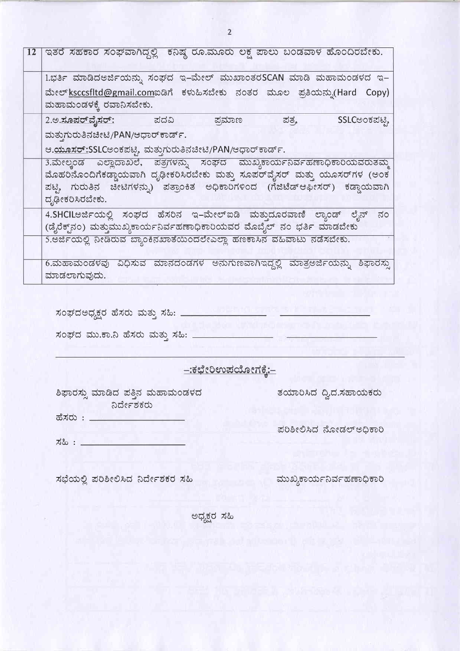| <b>12</b> | ಕನಿಷ್ಠ ರೂ.ಮೂರು ಲಕ್ಷ ಪಾಲು ಬಂಡವಾಳ ಹೊಂದಿರಬೇಕು.<br>ಇತರೆ ಸಹಕಾರ ಸಂಘವಾಗಿದ್ದಲ್ಲಿ                                                                                                                                                                                |
|-----------|---------------------------------------------------------------------------------------------------------------------------------------------------------------------------------------------------------------------------------------------------------|
|           | ಇ-ಮೇಲ್ ಮುಖಾಂತರSCAN ಮಾಡಿ ಮಹಾಮಂಡಳದ ಇ-<br>1.ಭರ್ತಿ ಮಾಡಿದಅರ್ಜಿಯನ್ನು ಸಂಘದ<br>ಮೇಲ್ ksccsfltd@gmail.comಐಡಿಗೆ ಕಳುಹಿಸಬೇಕು ನಂತರ ಮೂಲ ಪ್ರತಿಯನ್ನು(Hard<br>Copy)<br>ಮಹಾಮಂಡಳಕ್ಕೆ ರವಾನಿಸಬೇಕು.                                                                            |
|           | SSLCಅಂಕಪಟ್ಟಿ<br><u> 2.ಅ.ಸೂಪರ್ ವೈಸರ್:</u><br>ಪ್ರಮಾಣ<br>ಪತ್ರ,<br>ಪದವಿ<br>ಮತ್ತುಗುರುತಿನಚೀಟಿ/PAN/ಆಧಾರ್ ಕಾರ್ಡ್.<br>ಆ. <u>ಯೂಸರ್:</u> SSLCಅಂಕಪಟ್ಟಿ, ಮತ್ತುಗುರುತಿನಚೀಟಿ/PAN/ಆಧಾರ್ <i>ಕಾರ್ಡ್.</i>                                                                   |
|           | 3.ಮೇಲ್ಕಂಡ ಎಲ್ಲಾದಾಖಲೆ, ಪತ್ರಗಳನ್ನು ಸಂಘದ ಮುಖ್ಯಕಾರ್ಯನಿರ್ವಹಣಾಧಿಕಾರಿಯವರುತಮ್ಮ<br>ಮೊಹರಿನೊಂದಿಗೆಕಡ್ಡಾಯವಾಗಿ ದೃಢೀಕರಿಸಿರಬೇಕು ಮತ್ತು ಸೂಪರ್ವೈಸರ್ ಮತ್ತು ಯೂಸರ್ಗಳ (ಅಂಕ<br>ಪಟ್ಟಿ, ಗುರುತಿನ ಚೀಟಿಗಳನ್ನು) ಪತ್ರಾಂಕಿತ ಅಧಿಕಾರಿಗಳಿಂದ (ಗೆಜಿಟೆಡ್ಆಫೀಸರ್) ಕಡ್ಡಾಯವಾಗಿ<br>ದೃಢೀಕರಿಸಿರಬೇಕು. |
|           | 4.SHCILಅರ್ಜಿಯಲ್ಲಿ ಸಂಘದ ಹೆಸರಿನ ಇ–ಮೇಲ್ಐಡಿ ಮತ್ತುದೂರವಾಣಿ ಲ್ಯಾಂಡ್ ಲೈನ್<br>ನಂ<br>(ಡೈರೆಕ್ಟ್ರಾಂ) ಮತ್ತುಮುಖ್ಯಕಾರ್ಯನಿರ್ವಹಣಾಧಿಕಾರಿಯವರ ಮೊಬೈಲ್ ನಂ ಭರ್ತಿ ಮಾಡಬೇಕು                                                                                                       |
|           | 5.ಅರ್ಜಿಯಲ್ಲಿ ನೀಡಿರುವ ಬ್ಯಾಂಕಿನಖಾತೆಯಿಂದಲೇಎಲ್ಲಾ ಹಣಕಾಸಿನ ವಹಿವಾಟು ನಡೆಸಬೇಕು.<br>ಮಾನದಂಡಗಳ ಅನುಗುಣವಾಗಿಇದ್ದಲ್ಲಿ<br>ವಿಧಿಸುವ<br>6.ಮಹಾಮಂಡಳವು<br>ಮಾತ್ರಅರ್ಜಿಯನ್ನು<br>ಶಿಫಾರಸ್ಸು<br>ಮಾಡಲಾಗುವುದು.                                                                         |

ಸಂಘದಅಧ್ಯಕ್ಷರ ಹೆಸರು ಮತ್ತು ಸಹಿ: \_\_\_\_\_\_\_\_\_\_\_\_\_\_\_\_\_

ಸಂಘದ ಮು.ಕಾ.ನಿ ಹೆಸರು ಮತ್ತು ಸಹಿ:  $\equiv$ 

–:ಕಛೇರಿಉಪಯೋಗಕ್ಕೆ:–

ಶಿಫಾರಸ್ಸು ಮಾಡಿದ ಪತ್ತಿನ ಮಹಾಮಂಡಳದ ನಿರ್ದೇಶಕರು

ಹೆಸರು : <sub>-</sub>

ಪರಿಶೀಲಿಸಿದ ನೋಡಲ್ಅಧಿಕಾರಿ

ತಯಾರಿಸಿದ ದ್ವಿದ.ಸಹಾಯಕರು

정& : \_

ಸಭೆಯಲ್ಲಿ ಪರಿಶೀಲಿಸಿದ ನಿರ್ದೇಶಕರ ಸಹಿ

ಮುಖ್ಯಕಾರ್ಯನಿರ್ವಹಣಾಧಿಕಾರಿ

ಅಧ್ಯಕ್ಷರ ಸಹಿ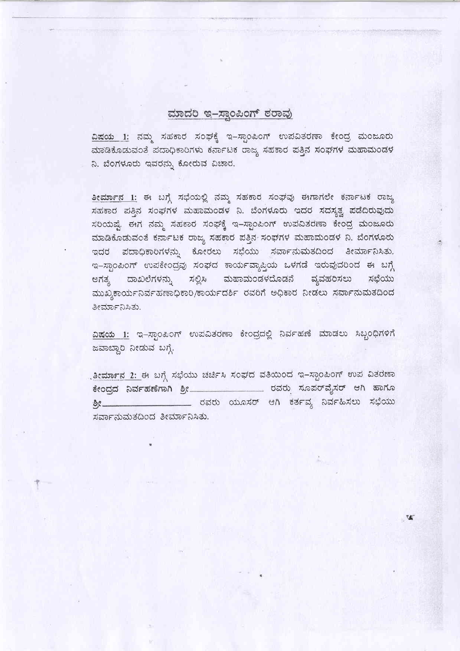#### ಮಾದರಿ ಇ-ಸ್ನಾಂಪಿಂಗ್ ಠರಾವು

ವಿಷಯ 1: ನಮ್ಮ ಸಹಕಾರ ಸಂಘಕ್ಕೆ ಇ–ಸ್ಪಾಂಪಿಂಗ್ ಉಪವಿತರಣಾ ಕೇಂದ್ರ ಮಂಜೂರು ಮಾಡಿಕೊಡುವಂತೆ ಪದಾಧಿಕಾರಿಗಳು ಕರ್ನಾಟಕ ರಾಜ್ಯ ಸಹಕಾರ ಪತ್ತಿನ ಸಂಘಗಳ ಮಹಾಮಂಡಳ ನಿ. ಬೆಂಗಳೂರು ಇವರನ್ನು ಕೋರುವ ವಿಚಾರ.

ತೀರ್ಮಾನ 1: ಈ ಬಗ್ಗೆ ಸಭೆಯಲ್ಲಿ ನಮ್ಮ ಸಹಕಾರ ಸಂಘವು ಈಗಾಗಲೇ ಕರ್ನಾಟಕ ರಾಜ್ಯ ಸಹಕಾರ ಪತ್ತಿನ ಸಂಘಗಳ ಮಹಾಮಂಡಳ ನಿ. ಬೆಂಗಳೂರು ಇದರ ಸದಸ್ಯತ್ವ ಪಡೆದಿರುವುದು ಸರಿಯಷ್ಟೆ ಈಗ ನಮ್ಮ ಸಹಕಾರ ಸಂಘಕ್ಕೆ ಇ-ಸ್ಪಾಂಪಿಂಗ್ ಉಪವಿತರಣಾ ಕೇಂದ್ರ ಮಂಜೂರು ಮಾಡಿಕೊಡುವಂತೆ ಕರ್ನಾಟಕ ರಾಜ್ಯ ಸಹಕಾರ ಪತ್ತಿನ ಸಂಘಗಳ ಮಹಾಮಂಡಳ ನಿ. ಬೆಂಗಳೂರು ಇದರ ಪದಾಧಿಕಾರಿಗಳನ್ನು ಕೋರಲು ಸಭೆಯು ಸರ್ವಾನುಮತದಿಂದ ತೀರ್ಮಾನಿಸಿತು. ಇ-ಸ್ಪಾಂಪಿಂಗ್ ಉಪಕೇಂದ್ರವು ಸಂಘದ ಕಾರ್ಯವ್ಯಾಪ್ತಿಯ ಒಳಗಡೆ ಇರುವುದರಿಂದ ಈ ಬಗ್ಗೆ ಅಗತ್ಯ ದಾಖಲೆಗಳನ್ನು ಸಲ್ಲಿಸಿ ಮಹಾಮಂಡಳದೊಡನೆ ವ್ಯವಹರಿಸಲು ಸಭೆಯು ಮುಖ್ಯಕಾರ್ಯನಿರ್ವಹಣಾಧಿಕಾರಿ/ಕಾರ್ಯದರ್ಶಿ ರವರಿಗೆ ಅಧಿಕಾರ ನೀಡಲು ಸರ್ವಾನುಮತದಿಂದ ತೀರ್ಮಾನಿಸಿತು.

ವಿಷಯ 1: ಇ-ಸ್ಪಾಂಪಿಂಗ್ ಉಪವಿತರಣಾ ಕೇಂದ್ರದಲ್ಲಿ ನಿರ್ವಹಣೆ ಮಾಡಲು ಸಿಬ್ಬಂಧಿಗಳಿಗೆ ಜವಾಬ್ದಾರಿ ನೀಡುವ ಬಗ್ಗೆ.

್ನತೀ<del>ರ್ಮಾನ 2: ಈ</del> ಬಗ್ಗೆ ಸಭೆಯು ಚರ್ಚಿಸಿ ಸಂಘದ ವತಿಯಿಂದ ಇ-ಸ್ಪಾಂಪಿಂಗ್ ಉಪ ವಿತರಣಾ ಕೇಂದ್ರದ ನಿರ್ವಹಣೆಗಾಗಿ ಶ್ರೀ\_\_\_\_\_\_\_\_\_\_\_\_\_\_\_\_\_\_ ರವರು ಸೂಪರ್ವೈಸರ್ ಆಗಿ ಹಾಗೂ ಶ್ರೀ\_\_\_\_\_\_\_\_\_\_\_\_\_\_\_\_\_\_\_\_\_\_\_\_\_ ರವರು ಯೂಸರ್ ಆಗಿ ಕರ್ತವ್ಯ ನಿರ್ವಹಿಸಲು ಸಭೆಯು ಸರ್ವಾನುಮತದಿಂದ ತೀರ್ಮಾನಿಸಿತು.

**W**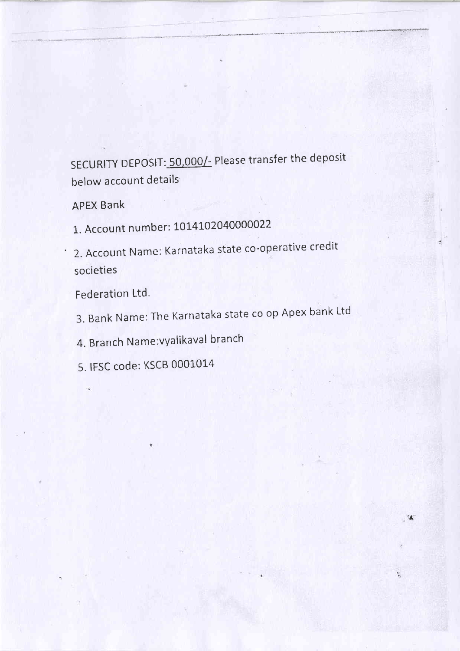# SECURITY DEPOSIT: 50,000/- Please transfer the deposit below account details

' t 4/tuMie@4dd@M?(

 $\leq$ 

APEX Bank

1. Account number: 1014102040000022

2. Account Name: Karnataka state co-operative credit societies

Federation Ltd.

3. Bank Name:The Karnataka state co op Apex bank Ltd

4. Branch Name: vyalikaval branch

5. IFSC code: KSCB 0001014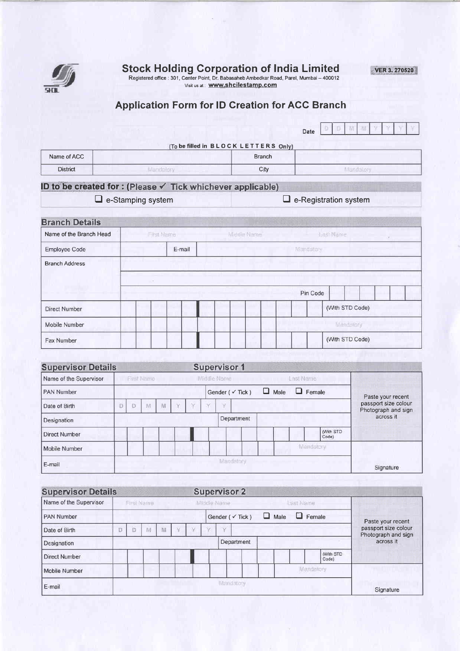

Stock Holding Gorporation of India Limited

Registered office : 301, Center Point, Dr. Babasaheb Ambedkar Road, Parel, Mumbai – 400012<br>Visit us at : **www.shcilestamp.com** 

**VER 3. 270520** 

### Application Form for lD Greation for ACG Branch

|                 | (To be filled in BLOCK LETTERS Only) | Date |  |  |  |  |
|-----------------|--------------------------------------|------|--|--|--|--|
| Name of ACC     | <b>Branch</b>                        |      |  |  |  |  |
| <b>District</b> | City                                 |      |  |  |  |  |

#### ID to be created for : (Please  $\checkmark$  Tick whichever applicable)

E e-Stamping system D e-Registration system

| Name of the Branch Head | First Name |        |  |  | Middle Name |  |  | Last Name |                 |           |  |  |  |  |
|-------------------------|------------|--------|--|--|-------------|--|--|-----------|-----------------|-----------|--|--|--|--|
| Employee Code           |            | E-mail |  |  |             |  |  |           | Mandatory       |           |  |  |  |  |
| <b>Branch Address</b>   |            |        |  |  |             |  |  |           |                 |           |  |  |  |  |
|                         | $-20$      |        |  |  |             |  |  |           |                 |           |  |  |  |  |
|                         |            |        |  |  |             |  |  | Pin Code  |                 |           |  |  |  |  |
| <b>Direct Number</b>    |            |        |  |  |             |  |  |           | (With STD Code) |           |  |  |  |  |
| Mobile Number           |            |        |  |  |             |  |  |           |                 | Mandalory |  |  |  |  |
| Fax Number              |            |        |  |  |             |  |  |           | (With STD Code) |           |  |  |  |  |

| <b>Supervisor Details</b> |           |            |   |  |   |  |             | <b>Supervisor 1</b>         |             |            |                  |                    |                                             |
|---------------------------|-----------|------------|---|--|---|--|-------------|-----------------------------|-------------|------------|------------------|--------------------|---------------------------------------------|
| Name of the Supervisor    |           | First Name |   |  |   |  | Middle Name |                             |             | Last Name: |                  |                    |                                             |
| <b>PAN Number</b>         |           |            |   |  |   |  |             | Gender ( $\checkmark$ Tick) | $\Box$ Male |            | $\Box$ Female    |                    | Paste your recent                           |
| Date of Birth             |           | M          | 祖 |  | × |  | U.          |                             |             |            |                  |                    | passport size colour<br>Photograph and sign |
| Designation               |           |            |   |  |   |  |             | Department                  |             |            |                  |                    | across it                                   |
| <b>Direct Number</b>      |           |            |   |  |   |  |             |                             |             |            |                  | (With STD<br>Code) |                                             |
| Mobile Number             |           |            |   |  |   |  |             |                             |             |            | <b>Mandatory</b> |                    |                                             |
| E-mail                    | Mandatory |            |   |  |   |  |             |                             | Signature   |            |                  |                    |                                             |

| <b>Supervisor Details</b> |            |    |    |            |             |  |  |           | <b>Supervisor 2</b>         |           |               |                     |                                             |
|---------------------------|------------|----|----|------------|-------------|--|--|-----------|-----------------------------|-----------|---------------|---------------------|---------------------------------------------|
| Name of the Supervisor    | Frest Name |    |    |            | Middle Name |  |  |           |                             |           | Last Name     |                     |                                             |
| <b>PAN Number</b>         |            |    |    |            |             |  |  |           | Gender ( $\checkmark$ Tick) | u<br>Male | $\Box$ Female |                     | Paste your recent                           |
| Date of Birth             | D          | īЙ | W. | V.         | V.          |  |  | v.        |                             |           |               |                     | passport size colour<br>Photograph and sign |
| Designation               |            |    |    | Department |             |  |  |           |                             |           | across it     |                     |                                             |
| Direct Number             |            |    |    |            |             |  |  |           |                             |           |               | (With STD)<br>Code) |                                             |
| Mobile Number             |            |    |    |            |             |  |  |           |                             |           |               | Mandatory           |                                             |
| E-mail                    |            |    |    |            |             |  |  | Mandatory |                             |           |               |                     | Signature                                   |